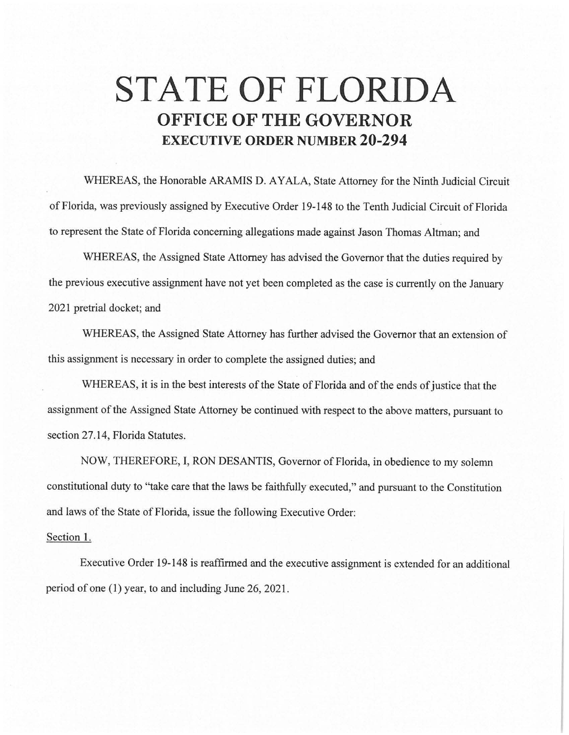## **STATE OF FLORIDA OFFICE OF THE GOVERNOR EXECUTIVE ORDER NUMBER 20-294**

WHEREAS, the Honorable ARAMIS D. AYALA, State Attorney for the Ninth Judicial Circuit of Florida, was previously assigned by Executive Order 19-148 to the Tenth Judicial Circuit of Florida to represent the State of Florida concerning allegations made against Jason Thomas Altman; and

WHEREAS, the Assigned State Attorney has advised the Governor that the duties required by the previous executive assignment have not yet been completed as the case is currently on the January 2021 pretrial docket; and

WHEREAS, the Assigned State Attorney has further advised the Governor that an extension of this assignment is necessary in order to complete the assigned duties; and

WHEREAS, it is in the best interests of the State of Florida and of the ends of justice that the assignment of the Assigned State Attorney be continued with respect to the above matters, pursuant to section 27.14, Florida Statutes.

NOW, THEREFORE, I, RON DESANTIS, Governor of Florida, in obedience to my solemn constitutional duty to "take care that the laws be faithfully executed," and pursuant to the Constitution and laws of the State of Florida, issue the following Executive Order:

## Section **1.**

Executive Order 19-148 is reaffirmed and the executive assignment is extended for an additional period of one (1) year, to and including June 26, 2021.